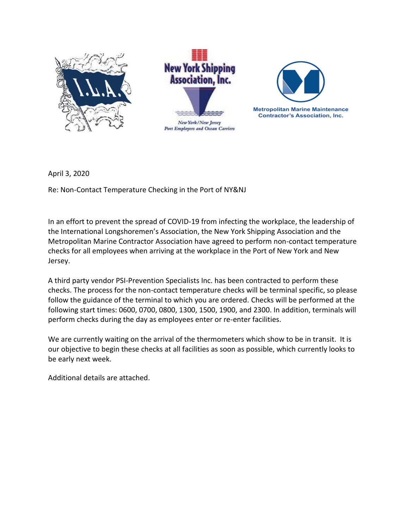





April 3, 2020

Re: Non-Contact Temperature Checking in the Port of NY&NJ

In an effort to prevent the spread of COVID-19 from infecting the workplace, the leadership of the International Longshoremen's Association, the New York Shipping Association and the Metropolitan Marine Contractor Association have agreed to perform non-contact temperature checks for all employees when arriving at the workplace in the Port of New York and New Jersey.

A third party vendor PSI-Prevention Specialists Inc. has been contracted to perform these checks. The process for the non-contact temperature checks will be terminal specific, so please follow the guidance of the terminal to which you are ordered. Checks will be performed at the following start times: 0600, 0700, 0800, 1300, 1500, 1900, and 2300. In addition, terminals will perform checks during the day as employees enter or re-enter facilities.

We are currently waiting on the arrival of the thermometers which show to be in transit. It is our objective to begin these checks at all facilities as soon as possible, which currently looks to be early next week.

Additional details are attached.